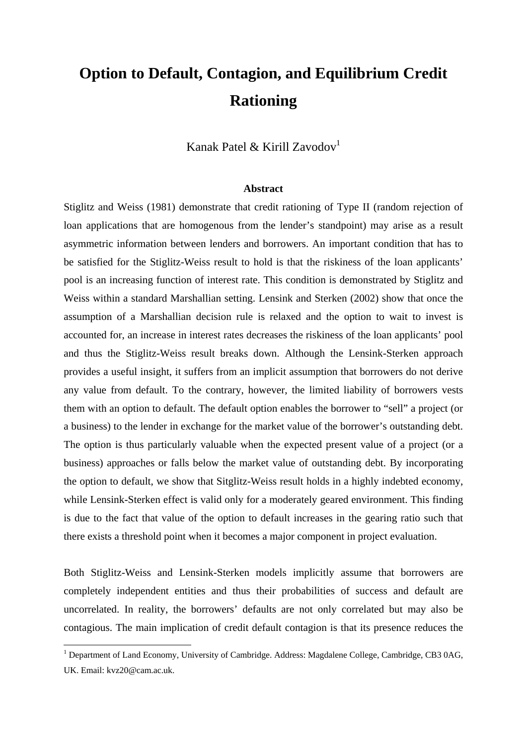## **Option to Default, Contagion, and Equilibrium Credit Rationing**

Kanak Patel & Kirill Zavodov<sup>1</sup>

## **Abstract**

Stiglitz and Weiss (1981) demonstrate that credit rationing of Type II (random rejection of loan applications that are homogenous from the lender's standpoint) may arise as a result asymmetric information between lenders and borrowers. An important condition that has to be satisfied for the Stiglitz-Weiss result to hold is that the riskiness of the loan applicants' pool is an increasing function of interest rate. This condition is demonstrated by Stiglitz and Weiss within a standard Marshallian setting. Lensink and Sterken (2002) show that once the assumption of a Marshallian decision rule is relaxed and the option to wait to invest is accounted for, an increase in interest rates decreases the riskiness of the loan applicants' pool and thus the Stiglitz-Weiss result breaks down. Although the Lensink-Sterken approach provides a useful insight, it suffers from an implicit assumption that borrowers do not derive any value from default. To the contrary, however, the limited liability of borrowers vests them with an option to default. The default option enables the borrower to "sell" a project (or a business) to the lender in exchange for the market value of the borrower's outstanding debt. The option is thus particularly valuable when the expected present value of a project (or a business) approaches or falls below the market value of outstanding debt. By incorporating the option to default, we show that Sitglitz-Weiss result holds in a highly indebted economy, while Lensink-Sterken effect is valid only for a moderately geared environment. This finding is due to the fact that value of the option to default increases in the gearing ratio such that there exists a threshold point when it becomes a major component in project evaluation.

Both Stiglitz-Weiss and Lensink-Sterken models implicitly assume that borrowers are completely independent entities and thus their probabilities of success and default are uncorrelated. In reality, the borrowers' defaults are not only correlated but may also be contagious. The main implication of credit default contagion is that its presence reduces the

<sup>1&</sup>lt;br><sup>1</sup> Department of Land Economy, University of Cambridge. Address: Magdalene College, Cambridge, CB3 0AG, UK. Email: kvz20@cam.ac.uk.